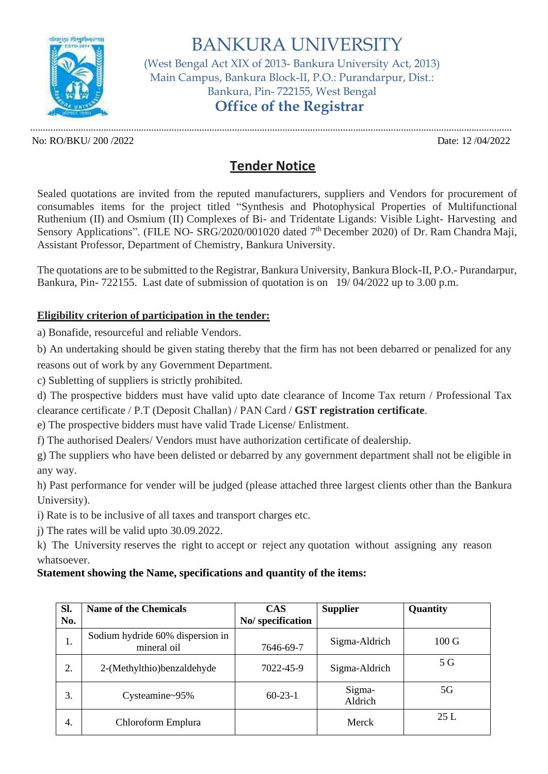

BANKURA UNIVERSITY (West Bengal Act XIX of 2013- Bankura University Act, 2013) Main Campus, Bankura Block-II, P.O.: Purandarpur, Dist.: Bankura, Pin- 722155, West Bengal **Office of the Registrar**

No: RO/BKU/ 200 /2022 Date: 12 /04/2022

...............................................................................................................................................................................................

## **Tender Notice**

Sealed quotations are invited from the reputed manufacturers, suppliers and Vendors for procurement of consumables items for the project titled "Synthesis and Photophysical Properties of Multifunctional Ruthenium (II) and Osmium (II) Complexes of Bi- and Tridentate Ligands: Visible Light- Harvesting and Sensory Applications". (FILE NO- SRG/2020/001020 dated 7<sup>th</sup> December 2020) of Dr. Ram Chandra Maji, Assistant Professor, Department of Chemistry, Bankura University.

The quotations are to be submitted to the Registrar, Bankura University, Bankura Block-II, P.O.- Purandarpur, Bankura, Pin- 722155. Last date of submission of quotation is on 19/ 04/2022 up to 3.00 p.m.

## **Eligibility criterion of participation in the tender:**

a) Bonafide, resourceful and reliable Vendors.

b) An undertaking should be given stating thereby that the firm has not been debarred or penalized for any reasons out of work by any Government Department.

c) Subletting of suppliers is strictly prohibited.

d) The prospective bidders must have valid upto date clearance of Income Tax return / Professional Tax clearance certificate / P.T (Deposit Challan) / PAN Card / **GST registration certificate**.

e) The prospective bidders must have valid Trade License/ Enlistment.

f) The authorised Dealers/ Vendors must have authorization certificate of dealership.

g) The suppliers who have been delisted or debarred by any government department shall not be eligible in any way.

h) Past performance for vender will be judged (please attached three largest clients other than the Bankura University).

i) Rate is to be inclusive of all taxes and transport charges etc.

j) The rates will be valid upto 30.09.2022.

k) The University reserves the right to accept or reject any quotation without assigning any reason whatsoever.

## **Statement showing the Name, specifications and quantity of the items:**

| Sl.<br>No. | <b>Name of the Chemicals</b>                    | <b>CAS</b><br>No/ specification | <b>Supplier</b>   | Quantity        |
|------------|-------------------------------------------------|---------------------------------|-------------------|-----------------|
| 1.         | Sodium hydride 60% dispersion in<br>mineral oil | 7646-69-7                       | Sigma-Aldrich     | $100 \text{ G}$ |
| 2.         | 2-(Methylthio)benzaldehyde                      | 7022-45-9                       | Sigma-Aldrich     | 5 G             |
| 3.         | Cysteamine~95%                                  | $60 - 23 - 1$                   | Sigma-<br>Aldrich | 5G              |
| 4.         | Chloroform Emplura                              |                                 | Merck             | 25L             |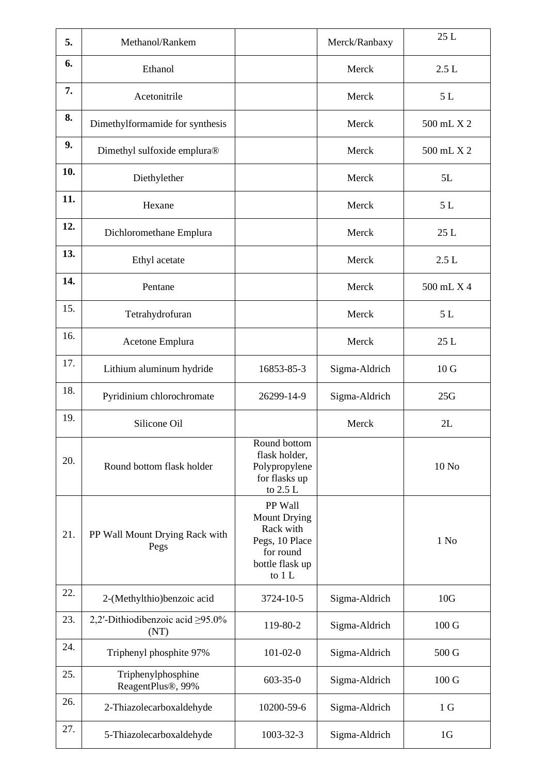| 5.  | Methanol/Rankem                                      |                                                                                                         | Merck/Ranbaxy | 25L              |
|-----|------------------------------------------------------|---------------------------------------------------------------------------------------------------------|---------------|------------------|
| 6.  | Ethanol                                              |                                                                                                         | Merck         | 2.5L             |
| 7.  | Acetonitrile                                         |                                                                                                         | Merck         | $5 L$            |
| 8.  | Dimethylformamide for synthesis                      |                                                                                                         | Merck         | 500 mL X 2       |
| 9.  | Dimethyl sulfoxide emplura®                          |                                                                                                         | Merck         | 500 mL X 2       |
| 10. | Diethylether                                         |                                                                                                         | Merck         | 5L               |
| 11. | Hexane                                               |                                                                                                         | Merck         | 5L               |
| 12. | Dichloromethane Emplura                              |                                                                                                         | Merck         | 25L              |
| 13. | Ethyl acetate                                        |                                                                                                         | Merck         | 2.5L             |
| 14. | Pentane                                              |                                                                                                         | Merck         | 500 mL X 4       |
| 15. | Tetrahydrofuran                                      |                                                                                                         | Merck         | 5L               |
| 16. | Acetone Emplura                                      |                                                                                                         | Merck         | 25L              |
| 17. | Lithium aluminum hydride                             | 16853-85-3                                                                                              | Sigma-Aldrich | 10 <sub>G</sub>  |
| 18. | Pyridinium chlorochromate                            | 26299-14-9                                                                                              | Sigma-Aldrich | 25G              |
| 19. | Silicone Oil                                         |                                                                                                         | Merck         | 2L               |
| 20. | Round bottom flask holder                            | Round bottom<br>flask holder,<br>Polypropylene<br>for flasks up<br>to 2.5 L                             |               | 10 No            |
| 21. | PP Wall Mount Drying Rack with<br>Pegs               | PP Wall<br><b>Mount Drying</b><br>Rack with<br>Pegs, 10 Place<br>for round<br>bottle flask up<br>to 1 L |               | $1$ No           |
| 22. | 2-(Methylthio)benzoic acid                           | 3724-10-5                                                                                               | Sigma-Aldrich | 10G              |
| 23. | 2,2'-Dithiodibenzoic acid ≥95.0%<br>(NT)             | 119-80-2                                                                                                | Sigma-Aldrich | 100 <sub>G</sub> |
| 24. | Triphenyl phosphite 97%                              | $101 - 02 - 0$                                                                                          | Sigma-Aldrich | 500 G            |
| 25. | Triphenylphosphine<br>ReagentPlus <sup>®</sup> , 99% | $603 - 35 - 0$                                                                                          | Sigma-Aldrich | $100 \text{ G}$  |
| 26. | 2-Thiazolecarboxaldehyde                             | 10200-59-6                                                                                              | Sigma-Aldrich | 1 <sub>G</sub>   |
| 27. | 5-Thiazolecarboxaldehyde                             | 1003-32-3                                                                                               | Sigma-Aldrich | 1 <sub>G</sub>   |